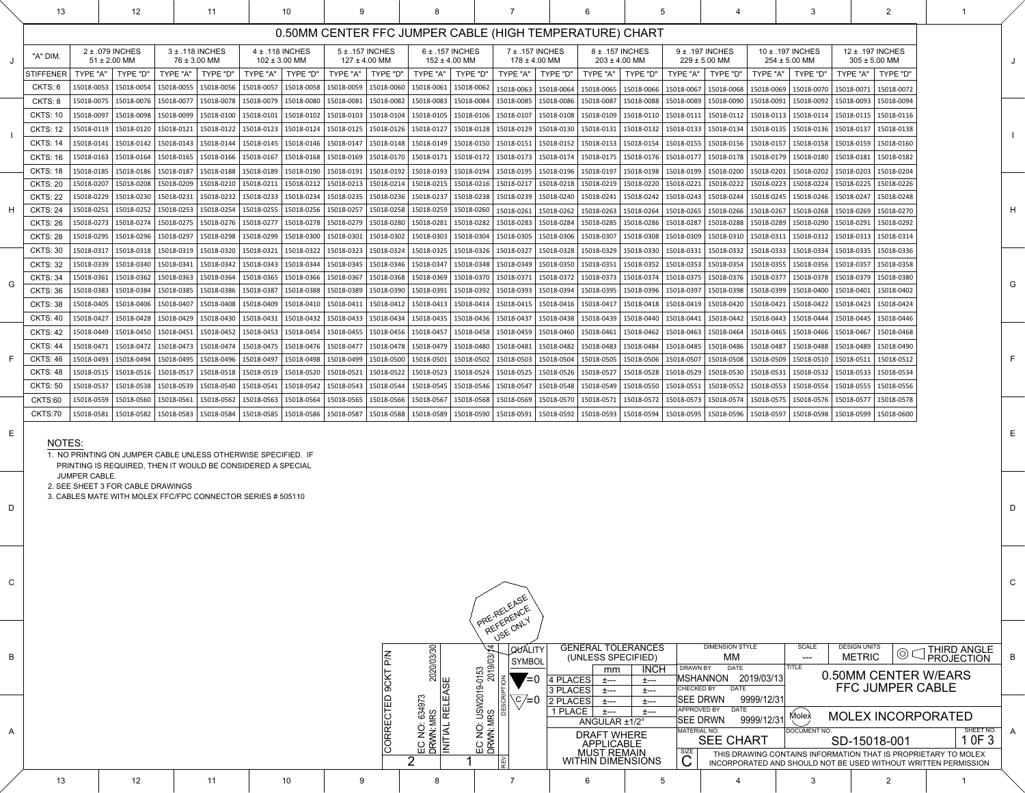|                                                                 |                                                                                                                            | <b>QUALITY</b> |                    |                                | <b>GENERAL TOLERANCES</b>                                      |                     |                  | <b>DIMENSION STYLE</b>    | <b>SCALE</b> |  | <b>DESIGN UNITS</b> |                         |  | <b><i>FHIRD ANGLE</i></b> |   |
|-----------------------------------------------------------------|----------------------------------------------------------------------------------------------------------------------------|----------------|--------------------|--------------------------------|----------------------------------------------------------------|---------------------|------------------|---------------------------|--------------|--|---------------------|-------------------------|--|---------------------------|---|
|                                                                 |                                                                                                                            | <b>SYMBOL</b>  |                    | (UNLESS SPECIFIED)             |                                                                |                     |                  | <b>MM</b>                 | ---          |  | <b>METRIC</b>       |                         |  | <b>PROJECTION</b>         | B |
|                                                                 |                                                                                                                            |                |                    | mm                             | <b>INCH</b>                                                    | DRAWN BY            |                  | <b>DATE</b>               | <b>TITLE</b> |  |                     |                         |  |                           |   |
|                                                                 | <b>NOIL</b>                                                                                                                | $= 0$          | <b>PLACES</b><br>4 | +---                           | +---                                                           |                     | MSHANNON         | 2019/03/13                |              |  |                     | 0.50MM CENTER W/EARS    |  |                           |   |
|                                                                 |                                                                                                                            |                | 3 PLACES           | 土---                           | 土---                                                           | <b>CHECKED BY</b>   |                  | <b>DATE</b>               |              |  |                     | <b>FFC JUMPER CABLE</b> |  |                           |   |
| EC NO: USW2019-0153<br>DRWN: MRS                     2019/03/14 | DESCRIP <sup>-</sup>                                                                                                       | ∖C ⁄=0         | 2 PLACES           | +---                           | 土---                                                           |                     | <b>ISEE DRWN</b> | 9999/12/31                |              |  |                     |                         |  |                           |   |
|                                                                 |                                                                                                                            |                | <b>PLACE</b>       | +---                           | +---                                                           | APPROVED BY         |                  | <b>DATE</b>               | Molex        |  |                     |                         |  |                           |   |
|                                                                 |                                                                                                                            |                | ANGULAR ±1/2°      | 9999/12/31<br><b>ISEE DRWN</b> |                                                                |                     |                  | <b>MOLEX INCORPORATED</b> |              |  |                     |                         |  |                           |   |
|                                                                 |                                                                                                                            |                |                    | <b>DRAFT WHERE</b>             |                                                                | <b>MATERIAL NO.</b> |                  |                           | DOCUMENT NO. |  |                     |                         |  | SHEET NO.                 | A |
|                                                                 |                                                                                                                            |                |                    | <b>APPLICABLE</b>              |                                                                |                     |                  | <b>SEE CHART</b>          |              |  | SD-15018-001        |                         |  | 1 OF 3                    |   |
|                                                                 |                                                                                                                            |                | <b>MUST REMAIN</b> | SIZE                           | THIS DRAWING CONTAINS INFORMATION THAT IS PROPRIETARY TO MOLEX |                     |                  |                           |              |  |                     |                         |  |                           |   |
|                                                                 | REV<br><b>WITHIN DIMENSIONS</b><br>INCORPORATED AND SHOULD NOT BE USED WITHOUT WRITTEN PERMISSION<br>$\blacktriangleright$ |                |                    |                                |                                                                |                     |                  |                           |              |  |                     |                         |  |                           |   |
|                                                                 |                                                                                                                            |                |                    |                                |                                                                |                     |                  |                           |              |  |                     |                         |  |                           |   |

 $\begin{array}{|c|c|} \hline \hline \multicolumn{1}{|c|}{c} \end{array}$ 

|                                                               | 13                                                          |  | 12                                  |                                                   | 11                                                                                                                              |                                       | 10            | 9                                    |                                              |                           |                             |                                                                                                                                                                                                                                 |                 |                  |                                                                             |                |                                                                                                                   |                                     |                                                   |                 | $\overline{2}$                                    |  |   |
|---------------------------------------------------------------|-------------------------------------------------------------|--|-------------------------------------|---------------------------------------------------|---------------------------------------------------------------------------------------------------------------------------------|---------------------------------------|---------------|--------------------------------------|----------------------------------------------|---------------------------|-----------------------------|---------------------------------------------------------------------------------------------------------------------------------------------------------------------------------------------------------------------------------|-----------------|------------------|-----------------------------------------------------------------------------|----------------|-------------------------------------------------------------------------------------------------------------------|-------------------------------------|---------------------------------------------------|-----------------|---------------------------------------------------|--|---|
|                                                               |                                                             |  |                                     |                                                   |                                                                                                                                 |                                       |               |                                      |                                              |                           |                             | 0.50MM CENTER FFC JUMPER CABLE (HIGH TEMPERATURE) CHART                                                                                                                                                                         |                 |                  |                                                                             |                |                                                                                                                   |                                     |                                                   |                 |                                                   |  |   |
|                                                               | "A" DIM.                                                    |  | 2 ± .079 INCHES<br>$51 \pm 2.00$ MM | 3 ± .118 INCHES<br>76 ± 3.00 MM                   |                                                                                                                                 | 4 ± .118 INCHES<br>$102 \pm 3.00$ MM  |               | 5 ± .157 INCHES<br>$127 \pm 4.00$ MM |                                              | $152 \pm 4.00$ MM         | $6 \pm .157$ INCHES         | 7 ± .157 INCHES<br>$178 \pm 4.00$ MM                                                                                                                                                                                            |                 |                  | 8 ± .157 INCHES<br>$203 \pm 4.00$ MM                                        |                | 9 ± .197 INCHES<br>$229 \pm 5.00$ MM                                                                              | $254 \pm 5.00$ MM                   | 10 ± .197 INCHES                                  |                 | 12 ± .197 INCHES<br>$305 \pm 5.00$ MM             |  |   |
|                                                               | <b>STIFFENER</b>                                            |  | TYPE "A" $\mid$ TYPE "D"            | TYPE "A"   TYPE "D"                               |                                                                                                                                 | TYPE "A"   TYPE "D"                   |               | TYPE "A"   TYPE "D"                  |                                              | TYPE "A" $\vert$ TYPE "D" |                             | TYPE "A"   TYPE "D"                                                                                                                                                                                                             |                 |                  | TYPE "A"   TYPE "D"                                                         |                | TYPE "A"   TYPE "D"                                                                                               | TYPE "A"   TYPE "D"                 |                                                   |                 | TYPE "A"   TYPE "D"                               |  |   |
|                                                               | CKTS: 6                                                     |  | 15018-0053   15018-0054             | 15018-0055   15018-0056                           |                                                                                                                                 | 15018-0057                            | 15018-0058    | 15018-0059                           | $ 15018-0060$                                | 15018-0061                | $ 15018-0062$               | 15018-0063 15018-0064                                                                                                                                                                                                           |                 |                  |                                                                             |                | $\vert$ 15018-0065 $\vert$ 15018-0066 $\vert$ 15018-0067 $\vert$ 15018-0068                                       | $ 15018-0069 15018-0070$            |                                                   |                 | 15018-0071   15018-0072                           |  |   |
|                                                               | CKTS: 8                                                     |  | 15018-0075   15018-0076             | 15018-0077                                        | $ 15018-0078$                                                                                                                   | $\vert$ 15018-0079 $\vert$ 15018-0080 |               | 15018-0081                           | $ 15018-0082\rangle$                         | $ 15018-0083\rangle$      | $ 15018-0084$               | 15018-0085                                                                                                                                                                                                                      | $ 15018 - 0086$ |                  | $ 15018-0087 15018-0088 $                                                   |                | $ 15018-0089 15018-0090$                                                                                          | 15018-0091                          | $ 15018-0092$                                     |                 | 15018-0093   15018-0094                           |  |   |
|                                                               | <b>CKTS: 10</b>                                             |  |                                     |                                                   |                                                                                                                                 |                                       |               |                                      |                                              |                           |                             | 15018-0097   15018-0098   15018-0099   15018-0100   15018-0101   15018-0102   15018-0103   15018-0104   15018-0105   15018-0106   15018-0107   15018-0108   15018-0109   15018-0110   15018-0111                                |                 |                  |                                                                             |                |                                                                                                                   | $ 15018-0112 15018-0113 15018-0114$ |                                                   |                 | 15018-0115   15018-0116                           |  |   |
|                                                               | <b>CKTS: 12</b>                                             |  |                                     |                                                   |                                                                                                                                 |                                       |               |                                      |                                              |                           |                             | 15018-0120   15018-0120   15018-0121   15018-0122   15018-0123   15018-0124   15018-0125   15018-0126   15018-0127   15018-0128   15018-0129   15018-0130   15018-0131                                                          |                 |                  |                                                                             |                | $\vert$ 15018-0132   15018-0133   15018-0134                                                                      |                                     | 15018-0135   15018-0136   15018-0137   15018-0138 |                 |                                                   |  |   |
|                                                               | <b>CKTS: 14</b>                                             |  |                                     |                                                   |                                                                                                                                 |                                       |               |                                      |                                              |                           |                             | 15018-0141   15018-0142   15018-0143   15018-0144   15018-0145   15018-0146   15018-0147   15018-0148   15018-0148   15018-0150   15018-0151   15018-0152   15018-0153   15018-0154   15018-0155   15018-0156   15018-0157   15 |                 |                  |                                                                             |                |                                                                                                                   |                                     |                                                   |                 |                                                   |  |   |
|                                                               | <b>CKTS: 16</b>                                             |  | 15018-0163   15018-0164             | $15018 - 0165$ 15018-0166                         |                                                                                                                                 | $15018 - 0167$ 15018-0168             |               |                                      | $\vert$ 15018-0169   15018-0170   15018-0171 |                           |                             | $15018-0172$ 15018-0173 15018-0174                                                                                                                                                                                              |                 |                  |                                                                             |                | $\vert$ 15018-0175 $\vert$ 15018-0176 $\vert$ 15018-0177 $\vert$ 15018-0178 $\vert$ 15018-0179 $\vert$ 15018-0180 |                                     |                                                   | $ 15018 - 0181$ | $ 15018-0182$                                     |  |   |
|                                                               | <b>CKTS: 18</b>                                             |  | 15018-0185   15018-0186             | $15018 - 0187$                                    | $ 15018 - 0188$                                                                                                                 | $15018 - 0189$ 15018-0190             |               | $ 15018-0191$                        | $\vert$ 15018-0192   15018-0193   15018-0194 |                           |                             | 15018-0195   15018-0196   15018-0197   15018-0198   15018-0199   15018-0200   15018-0201                                                                                                                                        |                 |                  |                                                                             |                |                                                                                                                   |                                     | $ 15018-0202$                                     |                 | 15018-0203   15018-0204                           |  |   |
|                                                               | <b>CKTS: 20</b>                                             |  | 15018-0207   15018-0208             | $15018 - 0209$ 15018-0210                         |                                                                                                                                 | $ 15018-0211 $                        | 15018-0212    | $15018 - 0213$                       | $ 15018-0214$                                | $15018 - 0215$ 15018-0216 |                             | $15018 - 0217$                                                                                                                                                                                                                  |                 |                  | $\vert$ 15018-0218 $\vert$ 15018-0219 $\vert$ 15018-0220 $\vert$ 15018-0221 |                | $15018 - 0222$                                                                                                    | $ 15018-0223 $                      | $15018 - 0224$                                    |                 | 15018-0225   15018-0226                           |  |   |
|                                                               | <b>CKTS: 22</b>                                             |  |                                     | 15018-0229   15018-0230   15018-0231   15018-0232 |                                                                                                                                 | $ 15018-0233 15018-0234 $             |               |                                      | 15018-0235   15018-0236                      | $15018 - 0237$            | $15018 - 0238$              | $ 15018-0239 15018-0240 15018-0241 $                                                                                                                                                                                            |                 |                  |                                                                             |                | $\vert$ 15018-0242   15018-0243   15018-0244                                                                      |                                     | 15018-0245   15018-0246   15018-0247   15018-0248 |                 |                                                   |  |   |
|                                                               | <b>CKTS: 24</b>                                             |  |                                     |                                                   |                                                                                                                                 |                                       |               |                                      |                                              |                           |                             | 15018-0251   15018-0252   15018-0253   15018-0254   15018-0255   15018-0256   15018-0257   15018-0258   15018-0259   15018-0260   15018-0261   15018-0263   15018-0263   15018-0265   15018-0266   15018-0267   15018-0268   15 |                 |                  |                                                                             |                |                                                                                                                   |                                     |                                                   |                 |                                                   |  | H |
|                                                               | <b>CKTS: 26</b>                                             |  |                                     |                                                   | 15018-0273   15018-0274   15018-0275   15018-0276   15018-0277   15018-0278   15018-0279   15018-0280                           |                                       |               |                                      |                                              | $ 15018-0281$             | $ 15018-0282\rangle$        | 15018-0283                                                                                                                                                                                                                      | 15018-0284      |                  | 15018-0285   15018-0286   15018-0287                                        |                | $ 15018-0288$                                                                                                     | $ 15018 - 0289$                     | $ 15018-0290$                                     | 15018-0291      | $ 15018-0292$                                     |  |   |
|                                                               | <b>CKTS: 28</b>                                             |  |                                     | 15018-0295   15018-0296   15018-0297   15018-0298 |                                                                                                                                 | $15018 - 0299$   15018-0300           |               | $ 15018-0301$                        | $\vert$ 15018-0302   15018-0303   15018-0304 |                           |                             | $\vert$ 15018-0305   15018-0306   15018-0307   15018-0308                                                                                                                                                                       |                 |                  |                                                                             |                | $ 15018-0309 15018-0310$                                                                                          | $ 15018-0311$                       | $ 15018-0312$                                     |                 | 15018-0313   15018-0314                           |  |   |
|                                                               | <b>CKTS: 30</b>                                             |  | 15018-0317   15018-0318             | $15018-0319$ 15018-0320                           |                                                                                                                                 | 15018-0321   15018-0322               |               | $ 15018-0323$                        | $ 15018-0324$                                | $15018 - 0325$            | $15018 - 0326$              | 15018-0327                                                                                                                                                                                                                      | 15018-0328      | $ 15018-0329$    | $ 15018-0330 $                                                              | $ 15018-0331 $ | 15018-0332                                                                                                        | 15018-0333                          | 15018-0334                                        | 15018-0335      | $ 15018-0336$                                     |  |   |
|                                                               | <b>CKTS: 32</b>                                             |  |                                     |                                                   | 15018-0339   15018-0340   15018-0341   15018-0342   15018-0343   15018-0344                                                     |                                       |               |                                      |                                              |                           |                             | 15018-0345   15018-0346   15018-0347   15018-0348   15018-0349   15018-0350                                                                                                                                                     |                 | $ 15018-0351$    | $ 15018-0352$                                                               | $ 15018-0353 $ | $ 15018-0354$                                                                                                     | $ 15018-0355 15018-0356 $           |                                                   | 15018-0357      | $ 15018-0358$                                     |  |   |
| G                                                             | <b>CKTS: 34</b>                                             |  |                                     |                                                   |                                                                                                                                 |                                       |               |                                      |                                              |                           |                             | 15018-0361   15018-0362   15018-0363   15018-0364   15018-0365   15018-0366   15018-0367   15018-0368   15018-0368   15018-0370   15018-0371   15018-0372   15018-0373   15018-0374   15018-0375   15018-0376   15018-0377   15 |                 |                  |                                                                             |                |                                                                                                                   |                                     |                                                   |                 |                                                   |  | G |
|                                                               | <b>CKTS: 36</b>                                             |  |                                     | 15018-0383   15018-0384   15018-0385   15018-0386 |                                                                                                                                 | 15018-0387                            | $ 15018-0388$ | 15018-0389                           | $ 15018-0390$                                | $ 15018-0391$             |                             | 15018-0392   15018-0393   15018-0394                                                                                                                                                                                            |                 |                  |                                                                             |                | 15018-0395   15018-0396   15018-0397   15018-0398   15018-0399   15018-0400   15018-0401   15018-0402             |                                     |                                                   |                 |                                                   |  |   |
|                                                               | <b>CKTS: 38</b>                                             |  |                                     |                                                   | 15018-0405   15018-0406   15018-0407   15018-0408   15018-0409   15018-0410   15018-0411                                        |                                       |               |                                      |                                              |                           |                             | 15018-0412   15018-0413   15018-0414   15018-0415   15018-0416   15018-0417   15018-0418   15018-0419   15018-0420   15018-0421   15018-0422                                                                                    |                 |                  |                                                                             |                |                                                                                                                   |                                     |                                                   |                 | 15018-0423   15018-0424                           |  |   |
|                                                               | <b>CKTS: 40</b>                                             |  |                                     |                                                   |                                                                                                                                 |                                       |               |                                      |                                              |                           |                             | 15018-0427   15018-0428   15018-0429   15018-0430   15018-0431   15018-0432   15018-0433   15018-0434   15018-0435   15018-0436   15018-0437   15018-0438   15018-0439   15018-0440   15018-0441   15018-0443   15018-0444   15 |                 |                  |                                                                             |                |                                                                                                                   |                                     |                                                   |                 | 15018-0445   15018-0446                           |  |   |
|                                                               | <b>CKTS: 42</b>                                             |  |                                     |                                                   | 15018-0449   15018-0450   15018-0451   15018-0452   15018-0453   15018-0454                                                     |                                       |               |                                      | $15018 - 0455$   15018-0456                  |                           | $ 15018-0457 15018-0458$    | $15018 - 0459$   15018-0460                                                                                                                                                                                                     |                 | $ 15018 - 0461 $ | $ 15018-0462 15018-0463 $                                                   |                | $ 15018-0464$                                                                                                     | 15018-0465   15018-0466             |                                                   | 15018-0467      | $ 15018 - 0468$                                   |  |   |
|                                                               | <b>CKTS: 44</b>                                             |  |                                     |                                                   |                                                                                                                                 |                                       |               |                                      |                                              |                           |                             | 15018-0472   15018-0473   15018-0474   15018-0475   15018-0476   15018-0477   15018-0477   15018-0478   15018-0479   15018-0480   15018-0481   15018-0482   15018-0483   15018-0484                                             |                 |                  |                                                                             |                | $\vert$ 15018-0485 $\vert$ 15018-0486 $\vert$ 15018-0487 $\vert$ 15018-0488                                       |                                     |                                                   |                 | 15018-0489   15018-0490                           |  |   |
| F.                                                            | <b>CKTS: 46</b>                                             |  |                                     |                                                   | 15018-0493   15018-0494   15018-0495   15018-0496   15018-0497   15018-0498                                                     |                                       |               | $ 15018 - 0499$                      | $ 15018 - 0500$                              | $ 15018 - 0501$           | $ 15018-0502$               | $15018 - 0503$                                                                                                                                                                                                                  | $ 15018-0504$   | $ 15018 - 0505 $ | $ 15018-0506$                                                               | $ 15018-0507 $ | $15018 - 0508$                                                                                                    | $ 15018 - 0509 $                    | $ 15018-0510$                                     | $ 15018-0511$   | $ 15018-0512$                                     |  |   |
|                                                               | <b>CKTS: 48</b>                                             |  |                                     |                                                   | 15018-0515   15018-0516   15018-0517   15018-0518   15018-0519   15018-0520   15018-0521   15018-0522   15018-0523   15018-0524 |                                       |               |                                      |                                              |                           |                             | $\vert$ 15018-0525   15018-0526   15018-0527   15018-0528   15018-0529   15018-0530                                                                                                                                             |                 |                  |                                                                             |                |                                                                                                                   | $ 15018-0531 $                      | $ 15018-0532$                                     |                 | 15018-0533   15018-0534                           |  |   |
|                                                               | <b>CKTS: 50</b>                                             |  | 15018-0537   15018-0538             | 15018-0539   15018-0540                           |                                                                                                                                 | $ 15018-0541$                         | $ 15018-0542$ | $ 15018-0543$                        | $ 15018-0544$                                |                           | $ 15018-0545 15018-0546$    | $15018 - 0547$                                                                                                                                                                                                                  |                 |                  | 15018-0548   15018-0549   15018-0550                                        | $ 15018-0551$  | 15018-0552                                                                                                        | 15018-0553                          | 15018-0554                                        | 15018-0555      | $ 15018-0556$                                     |  |   |
|                                                               | CKTS:60                                                     |  |                                     |                                                   |                                                                                                                                 |                                       |               |                                      |                                              |                           |                             | 15018-0572   15018-0572   15018-0561   15018-0562   15018-0563   15018-0564   15018-0565   15018-0566   15018-0568   15018-0568   15018-0570   15018-0571   15018-0572   15018-0573   15018-0574                                |                 |                  |                                                                             |                |                                                                                                                   |                                     |                                                   |                 | 15018-0575   15018-0576   15018-0577   15018-0578 |  |   |
|                                                               | <b>CKTS:70</b>                                              |  |                                     |                                                   | 15018-0581   15018-0582   15018-0583   15018-0584   15018-0585   15018-0586   15018-0587                                        |                                       |               |                                      | $ 15018 - 0588$                              | $ 15018-0589$             | $15018 - 0590$   15018-0591 |                                                                                                                                                                                                                                 |                 |                  | $\vert$ 15018-0592   15018-0593   15018-0594                                |                | $ 15018-0595 15018-0596 15018-0597$                                                                               |                                     | $ 15018-0598$                                     |                 | $ 15018-0599 15018-0600$                          |  |   |
| $E_{\parallel}$                                               |                                                             |  |                                     |                                                   |                                                                                                                                 |                                       |               |                                      |                                              |                           |                             |                                                                                                                                                                                                                                 |                 |                  |                                                                             |                |                                                                                                                   |                                     |                                                   |                 |                                                   |  |   |
|                                                               | NOTES:                                                      |  |                                     |                                                   |                                                                                                                                 |                                       |               |                                      |                                              |                           |                             |                                                                                                                                                                                                                                 |                 |                  |                                                                             |                |                                                                                                                   |                                     |                                                   |                 |                                                   |  |   |
| 1. NO PRINTING ON JUMPER CABLE UNLESS OTHERWISE SPECIFIED. IF |                                                             |  |                                     |                                                   |                                                                                                                                 |                                       |               |                                      |                                              |                           |                             |                                                                                                                                                                                                                                 |                 |                  |                                                                             |                |                                                                                                                   |                                     |                                                   |                 |                                                   |  |   |
|                                                               | PRINTING IS REQUIRED, THEN IT WOULD BE CONSIDERED A SPECIAL |  |                                     |                                                   |                                                                                                                                 |                                       |               |                                      |                                              |                           |                             |                                                                                                                                                                                                                                 |                 |                  |                                                                             |                |                                                                                                                   |                                     |                                                   |                 |                                                   |  |   |
| <b>JUMPER CABLE.</b><br>2. SEE SHEET 3 FOR CABLE DRAWINGS     |                                                             |  |                                     |                                                   |                                                                                                                                 |                                       |               |                                      |                                              |                           |                             |                                                                                                                                                                                                                                 |                 |                  |                                                                             |                |                                                                                                                   |                                     |                                                   |                 |                                                   |  |   |
|                                                               | 3. CABLES MATE WITH MOLEX FFC/FPC CONNECTOR SERIES # 505110 |  |                                     |                                                   |                                                                                                                                 |                                       |               |                                      |                                              |                           |                             |                                                                                                                                                                                                                                 |                 |                  |                                                                             |                |                                                                                                                   |                                     |                                                   |                 |                                                   |  |   |
| D                                                             |                                                             |  |                                     |                                                   |                                                                                                                                 |                                       |               |                                      |                                              |                           |                             |                                                                                                                                                                                                                                 |                 |                  |                                                                             |                |                                                                                                                   |                                     |                                                   |                 |                                                   |  | D |

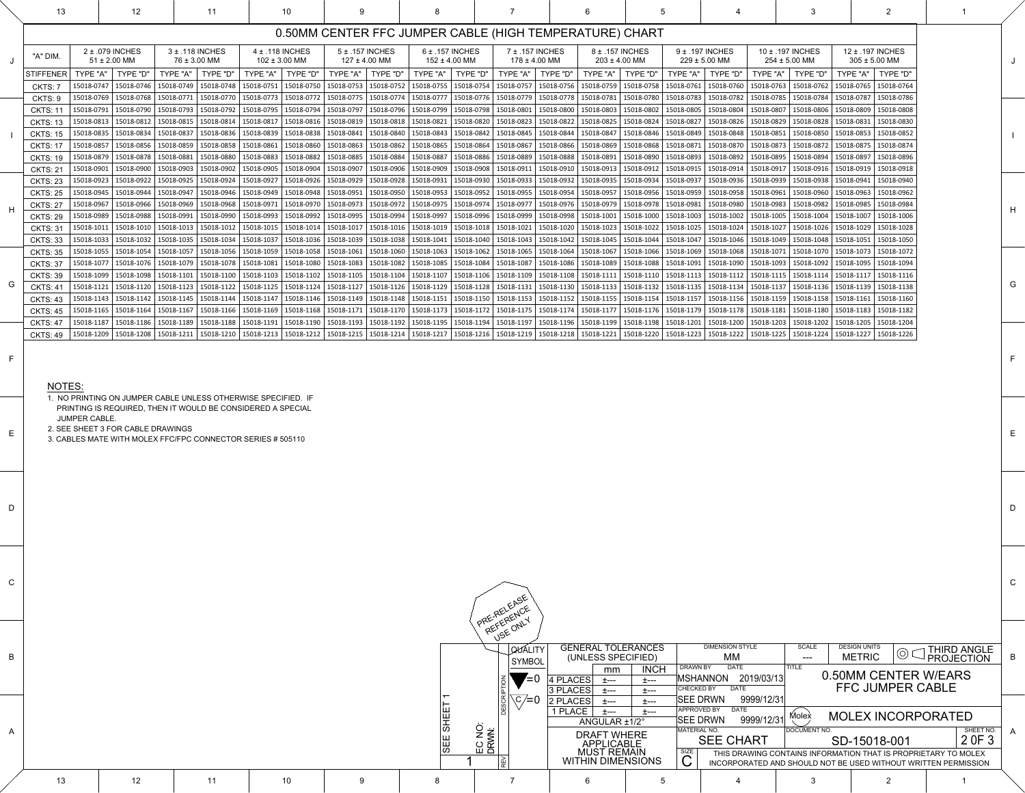C

D

E

F

G

H

I

J

|    |                 |                 |  | <b>QUALITY</b><br>SYMBOL | <b>GENERAL TOLERANCES</b><br>(UNLESS SPECIFIED)        |                             | <b>DIMENSION STYLE</b><br><b>MM</b>                                  | SCALE<br>$\qquad \qquad \blacksquare \blacksquare \blacksquare \blacksquare$ | <b>DESIGN UNITS</b><br>$\circledcirc$<br><b>METRIC</b>                                                                           | $\bigcup$ THIRD ANGLE |  |
|----|-----------------|-----------------|--|--------------------------|--------------------------------------------------------|-----------------------------|----------------------------------------------------------------------|------------------------------------------------------------------------------|----------------------------------------------------------------------------------------------------------------------------------|-----------------------|--|
|    |                 |                 |  | $\mathbf{V} = 0$         | mm<br>$ 4$ PLACES<br>土---<br>3 PLACES                  | <b>INCH</b><br><b>土---</b>  | <b>DATE</b><br>DRAWN BY<br>MSHANNON 2019/03/13<br>CHECKED BY<br>DATE | <b>ITITLE</b>                                                                | 0.50MM CENTER W/EARS<br><b>FFC JUMPER CABLE</b>                                                                                  |                       |  |
|    |                 |                 |  | $C/\equiv 0$             | <u>+</u> ---<br>2 PLACES<br>土---<br>1 PLACE<br>- 土---- | <b>土---</b><br>士---<br>土--- | 9999/12/31<br><b>SEE DRWN</b><br><b>APPROVED BY</b><br>DATE          |                                                                              |                                                                                                                                  |                       |  |
|    |                 |                 |  | . .                      | ANGULAR ±1/2°                                          |                             | 9999/12/31<br><b>SEE DRWN</b><br> MATERIAL NO.                       | Molex<br>DOCUMENT NO.                                                        | <b>MOLEX INCORPORATED</b>                                                                                                        | SHEET NO.             |  |
|    |                 |                 |  | EC NO:<br>DRWN:          | <b>DRAFT WHERE</b><br><b>APPLICABLE</b>                |                             | <b>SEE CHART</b>                                                     |                                                                              | SD-15018-001                                                                                                                     | 2 OF 3                |  |
|    |                 |                 |  |                          | <b>MUST REMAIN</b><br><b>WITHIN DIMENSIONS</b>         |                             | <b>SIZE</b>                                                          |                                                                              | THIS DRAWING CONTAINS INFORMATION THAT IS PROPRIETARY TO MOLEX<br>INCORPORATED AND SHOULD NOT BE USED WITHOUT WRITTEN PERMISSION |                       |  |
| 13 | 12 <sup>1</sup> | 10 <sup>°</sup> |  |                          |                                                        |                             |                                                                      |                                                                              |                                                                                                                                  |                       |  |

|             | 13                                 |                          | 12                                   |                                                    | 11                                  |                                                                                                                                                                                                                                 | 10                       |                         |                                                    | 8           |                                          |                                      |                         |                                                                                                                                                                                                                  | 5              |                                 |                          |                          |                                                                                                                                                                                                                                                                                                                                                                                                                                                                    |                          | 2                                     |                                                                                                                                  |
|-------------|------------------------------------|--------------------------|--------------------------------------|----------------------------------------------------|-------------------------------------|---------------------------------------------------------------------------------------------------------------------------------------------------------------------------------------------------------------------------------|--------------------------|-------------------------|----------------------------------------------------|-------------|------------------------------------------|--------------------------------------|-------------------------|------------------------------------------------------------------------------------------------------------------------------------------------------------------------------------------------------------------|----------------|---------------------------------|--------------------------|--------------------------|--------------------------------------------------------------------------------------------------------------------------------------------------------------------------------------------------------------------------------------------------------------------------------------------------------------------------------------------------------------------------------------------------------------------------------------------------------------------|--------------------------|---------------------------------------|----------------------------------------------------------------------------------------------------------------------------------|
|             |                                    |                          |                                      |                                                    |                                     |                                                                                                                                                                                                                                 |                          |                         |                                                    |             |                                          |                                      |                         | 0.50MM CENTER FFC JUMPER CABLE (HIGH TEMPERATURE) CHART                                                                                                                                                          |                |                                 |                          |                          |                                                                                                                                                                                                                                                                                                                                                                                                                                                                    |                          |                                       |                                                                                                                                  |
|             | "A" DIM                            |                          | 2 ± .079 INCHES<br>$51 \pm 2.00$ MM  |                                                    | 3 ± .118 INCHES<br>$76 \pm 3.00$ MM | $4 \pm .118$ INCHES                                                                                                                                                                                                             | $102 \pm 3.00$ MM        |                         | 5 ± .157 INCHES<br>$127 \pm 4.00$ MM               |             | $6 \pm .157$ INCHES<br>$152 \pm 4.00$ MM | 7 ± .157 INCHES<br>$178 \pm 4.00$ MM |                         | 8 ± .157 INCHES<br>$203 \pm 4.00$ MM                                                                                                                                                                             |                | 9 ± .197 INCHES                 | $229 \pm 5.00$ MM        |                          | 10 ± .197 INCHES<br>$254 \pm 5.00$ MM                                                                                                                                                                                                                                                                                                                                                                                                                              |                          | 12 ± .197 INCHES<br>$305 \pm 5.00$ MM |                                                                                                                                  |
|             | <b>STIFFENER</b>                   | TYPE "A"                 | TYPE "D"                             | TYPE "A"                                           | TYPE "D"                            |                                                                                                                                                                                                                                 | TYPE "A" $\mid$ TYPE "D" | TYPE "A"                | TYPE "D"                                           |             | TYPE "A"   TYPE "D"                      | TYPE "A" $\mid$ TYPE "D"             |                         | TYPE "A"                                                                                                                                                                                                         | TYPE "D"       | TYPE "A"                        | TYPE "D"                 | TYPE "A"                 | TYPE "D"                                                                                                                                                                                                                                                                                                                                                                                                                                                           | TYPE "A"                 | TYPE "D"                              |                                                                                                                                  |
|             | CKTS: 7<br>CKTS: 9                 | 15018-0747<br>15018-0769 |                                      | 15018-0746   15018-0749<br>15018-0768   15018-0771 |                                     | 15018-0748   15018-0751   15018-0750<br>15018-0770   15018-0773   15018-0772                                                                                                                                                    |                          |                         | 15018-0753   15018-0752<br>15018-0775   15018-0774 |             | 15018-0755   15018-0754                  |                                      |                         | $\vert$ 15018-0757   15018-0756   15018-0759   15018-0758<br>15018-0777   15018-0776   15018-0779   15018-0778   15018-0781   15018-0780   15018-0783   15018-0782                                               |                |                                 | $ 15018-0761 15018-0760$ | 15018-0763<br>15018-0785 | 15018-0762<br>15018-0784                                                                                                                                                                                                                                                                                                                                                                                                                                           | 15018-0787               | 15018-0765   15018-0764<br>15018-0786 |                                                                                                                                  |
|             | <b>CKTS: 11</b>                    | 15018-0791               |                                      | 15018-0790   15018-0793                            |                                     | 15018-0792   15018-0795   15018-0794                                                                                                                                                                                            |                          |                         | 15018-0797   15018-0796                            |             |                                          |                                      |                         | 15018-0799   15018-0798   15018-0801   15018-0800   15018-0803   15018-0802   15018-0805   15018-0804                                                                                                            |                |                                 |                          | 15018-0807               | 15018-0806                                                                                                                                                                                                                                                                                                                                                                                                                                                         | 15018-0809               | 15018-0808                            |                                                                                                                                  |
|             | <b>CKTS: 13</b><br><b>CKTS: 15</b> | 15018-0813               | 15018-0835   15018-0834   15018-0837 | 15018-0812   15018-0815                            |                                     | 15018-0814   15018-0817   15018-0816  <br>  15018-0836   15018-0839   15018-0838   15018-0841   15018-0840   15018-0843   15018-0842   15018-0845   15018-0844   15018-0847   15018-0846   15018-0849   15018-0848   15018-0851 |                          |                         |                                                    |             |                                          |                                      |                         | 15018-0819   15018-0818   15018-0821   15018-0820   15018-0823   15018-0822   15018-0825   15018-0824   15018-0827   15018-0826   15018-0829                                                                     |                |                                 |                          |                          | 15018-0828<br>  15018-0850   15018-0853   15018-0852                                                                                                                                                                                                                                                                                                                                                                                                               | $ 15018 - 0831$          | $ 15018-0830$                         |                                                                                                                                  |
|             | <b>CKTS: 17</b>                    | 15018-0857               | 15018-0856                           | 15018-0859                                         |                                     | 15018-0858   15018-0861   15018-0860                                                                                                                                                                                            |                          |                         |                                                    |             |                                          |                                      |                         | 15018-0863   15018-0862   15018-0865   15018-0864   15018-0867   15018-0866   15018-0869   15018-0868   15018-0871   15018-0870                                                                                  |                |                                 |                          |                          | 15018-0873   15018-0872                                                                                                                                                                                                                                                                                                                                                                                                                                            |                          | 15018-0875   15018-0874               |                                                                                                                                  |
|             | <b>CKTS: 19</b>                    |                          | 15018-0879   15018-0878   15018-0881 |                                                    |                                     | 15018-0880   15018-0883   15018-0882                                                                                                                                                                                            |                          | 15018-0885   15018-0884 |                                                    |             |                                          |                                      |                         |                                                                                                                                                                                                                  |                |                                 |                          |                          | 15018-0887   15018-0886   15018-0889   15018-0888   15018-0891   15018-0890   15018-0893   15018-0892   15018-0895   15018-0894                                                                                                                                                                                                                                                                                                                                    |                          | 15018-0897   15018-0896               |                                                                                                                                  |
|             | <b>CKTS: 21</b><br><b>CKTS: 23</b> | 15018-0901<br>15018-0923 | 15018-0900<br>15018-0922             | 15018-0903<br>15018-0925                           | $15018 - 0902$                      | $ 15018-0905 15018-0904$<br>  15018-0924   15018-0927   15018-0926                                                                                                                                                              |                          |                         | 15018-0907   15018-0906<br>15018-0929   15018-0928 |             |                                          |                                      |                         | 15018-0909   15018-0908   15018-0911   15018-0910   15018-0913   15018-0912   15018-0915   15018-0914   15018-0917<br>  15018-0931   15018-0930   15018-0933   15018-0932   15018-0935   15018-0934   15018-0937 |                |                                 | 15018-0936   15018-0939  |                          | 15018-0916<br>15018-0938                                                                                                                                                                                                                                                                                                                                                                                                                                           | 15018-0919<br>15018-0941 | 15018-0918<br>15018-0940              |                                                                                                                                  |
|             | <b>CKTS: 25</b>                    |                          | 15018-0945   15018-0944              | $ 15018-0947$                                      |                                     | 15018-0946   15018-0949   15018-0948                                                                                                                                                                                            |                          |                         | 15018-0951   15018-0950                            |             |                                          |                                      |                         | 15018-0953   15018-0952   15018-0955   15018-0954   15018-0957   15018-0956   15018-0959   15018-0958   15018-0961                                                                                               |                |                                 |                          |                          | 15018-0960                                                                                                                                                                                                                                                                                                                                                                                                                                                         | 15018-0963               | 15018-0962                            |                                                                                                                                  |
|             | <b>CKTS: 27</b>                    | 15018-0967               | 15018-0966                           | 15018-0969                                         |                                     | 15018-0968   15018-0971   15018-0970   15018-0973   15018-0972                                                                                                                                                                  |                          |                         |                                                    |             |                                          |                                      |                         | 15018-0975   15018-0974   15018-0977   15018-0976   15018-0979   15018-0978   15018-0981                                                                                                                         |                |                                 | $ 15018-0980 $           | 15018-0983               | 15018-0982                                                                                                                                                                                                                                                                                                                                                                                                                                                         | 15018-0985               | 15018-0984                            |                                                                                                                                  |
|             | <b>CKTS: 29</b><br><b>CKTS: 31</b> | 15018-0989<br>15018-1011 | 15018-0988<br>15018-1010             | 15018-0991<br>15018-1013                           | 15018-0990                          | 15018-0993   15018-0992<br>15018-1012   15018-1015   15018-1014                                                                                                                                                                 |                          | 15018-0995   15018-0994 | 15018-1017   15018-1016                            |             |                                          |                                      |                         | 15018-0997   15018-0996   15018-0999   15018-0998   15018-1001   15018-1000   15018-1003   15018-1002  <br>  15018-1019   15018-1018   15018-1021   15018-1020   15018-1023   15018-1022                         |                |                                 | 15018-1025   15018-1024  | 15018-1005<br>15018-1027 | 15018-1004<br>15018-1026                                                                                                                                                                                                                                                                                                                                                                                                                                           | 15018-1007<br>15018-1029 | 15018-1006<br>15018-1028              |                                                                                                                                  |
|             | <b>CKTS: 33</b>                    | 15018-1033               |                                      | 15018-1032   15018-1035                            |                                     | 15018-1034   15018-1037   15018-1036                                                                                                                                                                                            |                          |                         | 15018-1039   15018-1038                            |             |                                          |                                      |                         | 15018-1041   15018-1040   15018-1043   15018-1042   15018-1045   15018-1044   15018-1047   15018-1046   15018-1049                                                                                               |                |                                 |                          |                          | 15018-1048                                                                                                                                                                                                                                                                                                                                                                                                                                                         | 15018-1051               | 15018-1050                            |                                                                                                                                  |
|             | <b>CKTS: 35</b>                    | 15018-1055               |                                      | 15018-1054   15018-1057                            |                                     |                                                                                                                                                                                                                                 |                          |                         |                                                    |             |                                          |                                      |                         |                                                                                                                                                                                                                  |                |                                 |                          |                          | 15018-1056   15018-1059   15018-1058   15018-1061   15018-1060   15018-1063   15018-1062   15018-1065   15018-1064   15018-1067   15018-1066   15018-1069   15018-1068   15018-1068   15018-1071   15018-1070                                                                                                                                                                                                                                                      | $  15018 - 1073  $       | $ 15018-1072$                         |                                                                                                                                  |
|             | <b>CKTS: 37</b><br><b>CKTS: 39</b> |                          | 15018-1077   15018-1076   15018-1079 |                                                    |                                     |                                                                                                                                                                                                                                 |                          |                         |                                                    |             |                                          |                                      |                         |                                                                                                                                                                                                                  |                |                                 |                          |                          | 15018-1078   15018-1081   15018-1080   15018-1083   15018-1082   15018-1085   15018-1084   15018-1087   15018-1086   15018-1088   15018-1091   15018-1090   15018-1093   15018-1092   15018-1095   15018-1094<br>  15018-1099   15018-1098   15018-1101   15018-1100   15018-1103   15018-1102   15018-1105   15018-1104   15018-1107   15018-1109   15018-1109   15018-1101   15018-1111   15018-1111   15018-1110   15018-1112   15018-1112                      |                          |                                       |                                                                                                                                  |
| G           | <b>CKTS: 41</b>                    |                          |                                      |                                                    |                                     |                                                                                                                                                                                                                                 |                          |                         |                                                    |             |                                          |                                      |                         |                                                                                                                                                                                                                  |                |                                 |                          |                          | 15018-1121   15018-1120   15018-1123   15018-1122   15018-1125   15018-1124   15018-1127   15018-1126   15018-1129   15018-1128   15018-1131   15018-1130   15018-1133   15018-1132   15018-1135   15018-1137   15018-1136   15                                                                                                                                                                                                                                    |                          |                                       |                                                                                                                                  |
|             | <b>CKTS: 43</b>                    |                          |                                      |                                                    |                                     |                                                                                                                                                                                                                                 |                          |                         |                                                    |             |                                          |                                      |                         |                                                                                                                                                                                                                  |                |                                 |                          |                          | 15018-1142   15018-1142   15018-1145   15018-1144   15018-1147   15018-1146   15018-1149   15018-1148   15018-1151   15018-1152   15018-1152   15018-1155   15018-1154   15018-1157   15018-1159   15018-1158   15018-1158   15                                                                                                                                                                                                                                    |                          |                                       |                                                                                                                                  |
|             | <b>CKTS: 45</b><br><b>CKTS: 47</b> |                          |                                      |                                                    |                                     |                                                                                                                                                                                                                                 |                          |                         |                                                    |             |                                          |                                      |                         |                                                                                                                                                                                                                  |                |                                 |                          |                          | 15018-1165   15018-1164   15018-1167   15018-1166   15018-1169   15018-1168   15018-1171   15018-1170   15018-1173   15018-1172   15018-1173   15018-1174   15018-1174   15018-1174   15018-1172   15018-1174   15018-1174   15<br>15018-1187   15018-1186   15018-1189   15018-1188   15018-1191   15018-1190   15018-1193   15018-1192   15018-1195   15018-1194   15018-1197   15018-1196   15018-1199   15018-1198   15018-1201   15018-1203   15018-1205   15 |                          |                                       |                                                                                                                                  |
|             | <b>CKTS: 49</b>                    |                          |                                      |                                                    |                                     |                                                                                                                                                                                                                                 |                          |                         |                                                    |             |                                          |                                      |                         |                                                                                                                                                                                                                  |                |                                 |                          |                          | 15018-1208   15018-1208   15018-1211   15018-1210   15018-1213   15018-1212   15018-1215   15018-1214   15018-1217   15018-1217   15018-1217   15018-1219   15018-1218   15018-1217   15018-1219   15018-1218   15018-1221                                                                                                                                                                                                                                         |                          |                                       |                                                                                                                                  |
|             |                                    |                          |                                      |                                                    |                                     |                                                                                                                                                                                                                                 |                          |                         |                                                    |             |                                          |                                      |                         |                                                                                                                                                                                                                  |                |                                 |                          |                          |                                                                                                                                                                                                                                                                                                                                                                                                                                                                    |                          |                                       |                                                                                                                                  |
| F           |                                    |                          |                                      |                                                    |                                     |                                                                                                                                                                                                                                 |                          |                         |                                                    |             |                                          |                                      |                         |                                                                                                                                                                                                                  |                |                                 |                          |                          |                                                                                                                                                                                                                                                                                                                                                                                                                                                                    |                          |                                       |                                                                                                                                  |
|             | NOTES:                             |                          |                                      |                                                    |                                     |                                                                                                                                                                                                                                 |                          |                         |                                                    |             |                                          |                                      |                         |                                                                                                                                                                                                                  |                |                                 |                          |                          |                                                                                                                                                                                                                                                                                                                                                                                                                                                                    |                          |                                       |                                                                                                                                  |
|             |                                    |                          |                                      |                                                    |                                     | 1. NO PRINTING ON JUMPER CABLE UNLESS OTHERWISE SPECIFIED. IF                                                                                                                                                                   |                          |                         |                                                    |             |                                          |                                      |                         |                                                                                                                                                                                                                  |                |                                 |                          |                          |                                                                                                                                                                                                                                                                                                                                                                                                                                                                    |                          |                                       |                                                                                                                                  |
|             |                                    | <b>JUMPER CABLE.</b>     |                                      |                                                    |                                     | PRINTING IS REQUIRED, THEN IT WOULD BE CONSIDERED A SPECIAL                                                                                                                                                                     |                          |                         |                                                    |             |                                          |                                      |                         |                                                                                                                                                                                                                  |                |                                 |                          |                          |                                                                                                                                                                                                                                                                                                                                                                                                                                                                    |                          |                                       |                                                                                                                                  |
| E           |                                    |                          | 2. SEE SHEET 3 FOR CABLE DRAWINGS    |                                                    |                                     |                                                                                                                                                                                                                                 |                          |                         |                                                    |             |                                          |                                      |                         |                                                                                                                                                                                                                  |                |                                 |                          |                          |                                                                                                                                                                                                                                                                                                                                                                                                                                                                    |                          |                                       |                                                                                                                                  |
|             |                                    |                          |                                      |                                                    |                                     | 3. CABLES MATE WITH MOLEX FFC/FPC CONNECTOR SERIES # 505110                                                                                                                                                                     |                          |                         |                                                    |             |                                          |                                      |                         |                                                                                                                                                                                                                  |                |                                 |                          |                          |                                                                                                                                                                                                                                                                                                                                                                                                                                                                    |                          |                                       |                                                                                                                                  |
|             |                                    |                          |                                      |                                                    |                                     |                                                                                                                                                                                                                                 |                          |                         |                                                    |             |                                          |                                      |                         |                                                                                                                                                                                                                  |                |                                 |                          |                          |                                                                                                                                                                                                                                                                                                                                                                                                                                                                    |                          |                                       |                                                                                                                                  |
|             |                                    |                          |                                      |                                                    |                                     |                                                                                                                                                                                                                                 |                          |                         |                                                    |             |                                          |                                      |                         |                                                                                                                                                                                                                  |                |                                 |                          |                          |                                                                                                                                                                                                                                                                                                                                                                                                                                                                    |                          |                                       |                                                                                                                                  |
|             |                                    |                          |                                      |                                                    |                                     |                                                                                                                                                                                                                                 |                          |                         |                                                    |             |                                          |                                      |                         |                                                                                                                                                                                                                  |                |                                 |                          |                          |                                                                                                                                                                                                                                                                                                                                                                                                                                                                    |                          |                                       |                                                                                                                                  |
| D           |                                    |                          |                                      |                                                    |                                     |                                                                                                                                                                                                                                 |                          |                         |                                                    |             |                                          |                                      |                         |                                                                                                                                                                                                                  |                |                                 |                          |                          |                                                                                                                                                                                                                                                                                                                                                                                                                                                                    |                          |                                       |                                                                                                                                  |
|             |                                    |                          |                                      |                                                    |                                     |                                                                                                                                                                                                                                 |                          |                         |                                                    |             |                                          |                                      |                         |                                                                                                                                                                                                                  |                |                                 |                          |                          |                                                                                                                                                                                                                                                                                                                                                                                                                                                                    |                          |                                       |                                                                                                                                  |
|             |                                    |                          |                                      |                                                    |                                     |                                                                                                                                                                                                                                 |                          |                         |                                                    |             |                                          |                                      |                         |                                                                                                                                                                                                                  |                |                                 |                          |                          |                                                                                                                                                                                                                                                                                                                                                                                                                                                                    |                          |                                       |                                                                                                                                  |
|             |                                    |                          |                                      |                                                    |                                     |                                                                                                                                                                                                                                 |                          |                         |                                                    |             |                                          |                                      |                         |                                                                                                                                                                                                                  |                |                                 |                          |                          |                                                                                                                                                                                                                                                                                                                                                                                                                                                                    |                          |                                       |                                                                                                                                  |
|             |                                    |                          |                                      |                                                    |                                     |                                                                                                                                                                                                                                 |                          |                         |                                                    |             |                                          |                                      |                         |                                                                                                                                                                                                                  |                |                                 |                          |                          |                                                                                                                                                                                                                                                                                                                                                                                                                                                                    |                          |                                       |                                                                                                                                  |
| $\mathsf C$ |                                    |                          |                                      |                                                    |                                     |                                                                                                                                                                                                                                 |                          |                         |                                                    |             |                                          |                                      |                         |                                                                                                                                                                                                                  |                |                                 |                          |                          |                                                                                                                                                                                                                                                                                                                                                                                                                                                                    |                          |                                       |                                                                                                                                  |
|             |                                    |                          |                                      |                                                    |                                     |                                                                                                                                                                                                                                 |                          |                         |                                                    |             |                                          |                                      |                         |                                                                                                                                                                                                                  |                |                                 |                          |                          |                                                                                                                                                                                                                                                                                                                                                                                                                                                                    |                          |                                       |                                                                                                                                  |
|             |                                    |                          |                                      |                                                    |                                     |                                                                                                                                                                                                                                 |                          |                         |                                                    |             |                                          | PRE-RELEASE<br>REFERENCE             |                         |                                                                                                                                                                                                                  |                |                                 |                          |                          |                                                                                                                                                                                                                                                                                                                                                                                                                                                                    |                          |                                       |                                                                                                                                  |
|             |                                    |                          |                                      |                                                    |                                     |                                                                                                                                                                                                                                 |                          |                         |                                                    |             |                                          | USE ONLY                             |                         |                                                                                                                                                                                                                  |                |                                 |                          |                          |                                                                                                                                                                                                                                                                                                                                                                                                                                                                    |                          |                                       |                                                                                                                                  |
|             |                                    |                          |                                      |                                                    |                                     |                                                                                                                                                                                                                                 |                          |                         |                                                    |             |                                          | <b>QUALITY</b>                       |                         | <b>GENERAL TOLERANCES</b>                                                                                                                                                                                        |                |                                 | <b>DIMENSION STYLE</b>   |                          | <b>SCALE</b>                                                                                                                                                                                                                                                                                                                                                                                                                                                       | <b>DESIGN UNITS</b>      | $\circledcirc$                        | THIRD ANGLE<br>PROJECTION                                                                                                        |
| B           |                                    |                          |                                      |                                                    |                                     |                                                                                                                                                                                                                                 |                          |                         |                                                    |             |                                          | <b>SYMBOL</b>                        |                         | (UNLESS SPECIFIED)<br>mm                                                                                                                                                                                         | <b>INCH</b>    | <b>DRAWN BY</b>                 | <b>MM</b><br><b>DATE</b> |                          | $\qquad \qquad \blacksquare \blacksquare \blacksquare$<br><b>TITLE</b>                                                                                                                                                                                                                                                                                                                                                                                             | <b>METRIC</b>            |                                       |                                                                                                                                  |
|             |                                    |                          |                                      |                                                    |                                     |                                                                                                                                                                                                                                 |                          |                         |                                                    |             |                                          | $\epsilon = 0$                       | $ 4$ PLACES             | 土---                                                                                                                                                                                                             | $±---$         | MSHANNON                        |                          | 2019/03/13               |                                                                                                                                                                                                                                                                                                                                                                                                                                                                    |                          | 0.50MM CENTER W/EARS                  |                                                                                                                                  |
|             |                                    |                          |                                      |                                                    |                                     |                                                                                                                                                                                                                                 |                          |                         |                                                    |             |                                          | $\setminus$ C $/$ =0                 | 3 PLACES<br>$ 2$ PLACES | 士---<br>土---                                                                                                                                                                                                     | $±---$<br>t--- | CHECKED BY<br><b>SEE DRWN</b>   | <b>DATE</b>              | 9999/12/31               |                                                                                                                                                                                                                                                                                                                                                                                                                                                                    |                          | <b>FFC JUMPER CABLE</b>               |                                                                                                                                  |
|             |                                    |                          |                                      |                                                    |                                     |                                                                                                                                                                                                                                 |                          |                         |                                                    |             |                                          |                                      | 1 PLACE                 | 土---                                                                                                                                                                                                             | 士---           | <b>APPROVED BY</b>              | <b>DATE</b>              |                          | Molex                                                                                                                                                                                                                                                                                                                                                                                                                                                              |                          | <b>MOLEX INCORPORATED</b>             |                                                                                                                                  |
| A           |                                    |                          |                                      |                                                    |                                     |                                                                                                                                                                                                                                 |                          |                         |                                                    | <b>SHEE</b> |                                          |                                      |                         | ANGULAR ±1/2°<br><b>DRAFT WHERE</b>                                                                                                                                                                              |                | <b>SEE DRWN</b><br>MATERIAL NO. |                          | 9999/12/31               | <b>DOCUMENT NO</b>                                                                                                                                                                                                                                                                                                                                                                                                                                                 |                          |                                       | SHEET NO.                                                                                                                        |
|             |                                    |                          |                                      |                                                    |                                     |                                                                                                                                                                                                                                 |                          |                         |                                                    | <b>SEE</b>  | EC NO:                                   |                                      |                         | <b>APPLICABLE</b>                                                                                                                                                                                                |                |                                 | <b>SEE CHART</b>         |                          |                                                                                                                                                                                                                                                                                                                                                                                                                                                                    | SD-15018-001             |                                       | 2 OF 3                                                                                                                           |
|             |                                    |                          |                                      |                                                    |                                     |                                                                                                                                                                                                                                 |                          |                         |                                                    |             |                                          |                                      |                         | <b>MUST REMAIN</b><br><b>WITHIN DIMENSIONS</b>                                                                                                                                                                   |                | $rac{size}{C}$                  |                          |                          |                                                                                                                                                                                                                                                                                                                                                                                                                                                                    |                          |                                       | THIS DRAWING CONTAINS INFORMATION THAT IS PROPRIETARY TO MOLEX<br>INCORPORATED AND SHOULD NOT BE USED WITHOUT WRITTEN PERMISSION |

| ٠<br>۰, |
|---------|
|---------|